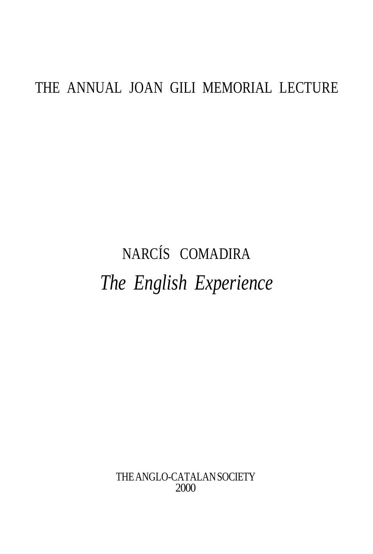## THE ANNUAL JOAN GILI MEMORIAL LECTURE

# NARCÍS COMADIRA *The English Experience*

THE ANGLO-CATALAN SOCIETY 2000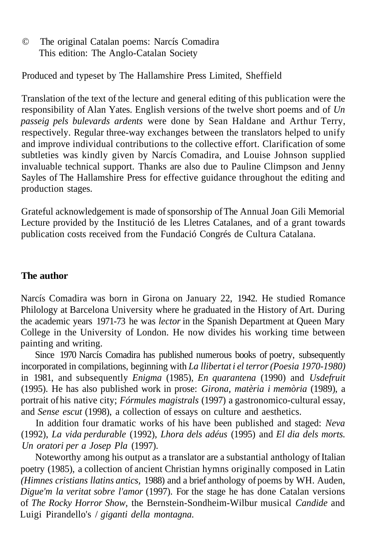© The original Catalan poems: Narcís Comadira This edition: The Anglo-Catalan Society

Produced and typeset by The Hallamshire Press Limited, Sheffield

Translation of the text of the lecture and general editing of this publication were the responsibility of Alan Yates. English versions of the twelve short poems and of *Un passeig pels bulevards ardents* were done by Sean Haldane and Arthur Terry, respectively. Regular three-way exchanges between the translators helped to unify and improve individual contributions to the collective effort. Clarification of some subtleties was kindly given by Narcís Comadira, and Louise Johnson supplied invaluable technical support. Thanks are also due to Pauline Climpson and Jenny Sayles of The Hallamshire Press for effective guidance throughout the editing and production stages.

Grateful acknowledgement is made of sponsorship of The Annual Joan Gili Memorial Lecture provided by the Institució de les Lletres Catalanes, and of a grant towards publication costs received from the Fundació Congrés de Cultura Catalana.

#### **The author**

Narcís Comadira was born in Girona on January 22, 1942. He studied Romance Philology at Barcelona University where he graduated in the History of Art. During the academic years 1971-73 he was *lector* in the Spanish Department at Queen Mary College in the University of London. He now divides his working time between painting and writing.

Since 1970 Narcís Comadira has published numerous books of poetry, subsequently incorporated in compilations, beginning with *La llibertat i el terror (Poesia 1970-1980)* in 1981, and subsequently *Enigma* (1985), *En quarantena* (1990) and *Usdefruit* (1995). He has also published work in prose: *Girona, matèria i memòria* (1989), a portrait of his native city; *Fórmules magistrals* (1997) a gastronomico-cultural essay, and *Sense escut* (1998), a collection of essays on culture and aesthetics.

In addition four dramatic works of his have been published and staged: *Neva* (1992), *La vida perdurable* (1992), *Lhora dels adéus* (1995) and *El dia dels morts. Un oratori per a Josep Pla* (1997).

Noteworthy among his output as a translator are a substantial anthology of Italian poetry (1985), a collection of ancient Christian hymns originally composed in Latin *(Himnes cristians llatins antics,* 1988) and a brief anthology of poems by WH. Auden, *Digue'm la veritat sobre l'amor* (1997). For the stage he has done Catalan versions of *The Rocky Horror Show,* the Bernstein-Sondheim-Wilbur musical *Candide* and Luigi Pirandello's / *giganti della montagna.*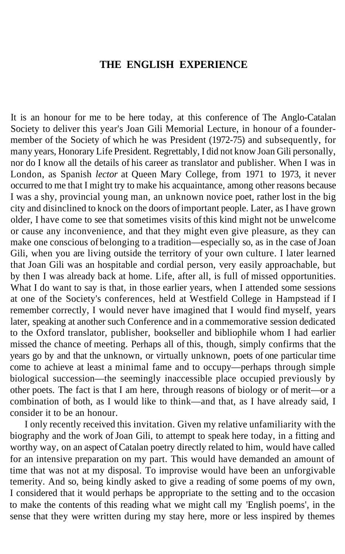### **THE ENGLISH EXPERIENCE**

It is an honour for me to be here today, at this conference of The Anglo-Catalan Society to deliver this year's Joan Gili Memorial Lecture, in honour of a foundermember of the Society of which he was President (1972-75) and subsequently, for many years, Honorary Life President. Regrettably, I did not know Joan Gili personally, nor do I know all the details of his career as translator and publisher. When I was in London, as Spanish *lector* at Queen Mary College, from 1971 to 1973, it never occurred to me that I might try to make his acquaintance, among other reasons because I was a shy, provincial young man, an unknown novice poet, rather lost in the big city and disinclined to knock on the doors of important people. Later, as I have grown older, I have come to see that sometimes visits of this kind might not be unwelcome or cause any inconvenience, and that they might even give pleasure, as they can make one conscious of belonging to a tradition—especially so, as in the case of Joan Gili, when you are living outside the territory of your own culture. I later learned that Joan Gili was an hospitable and cordial person, very easily approachable, but by then I was already back at home. Life, after all, is full of missed opportunities. What I do want to say is that, in those earlier years, when I attended some sessions at one of the Society's conferences, held at Westfield College in Hampstead if I remember correctly, I would never have imagined that I would find myself, years later, speaking at another such Conference and in a commemorative session dedicated to the Oxford translator, publisher, bookseller and bibliophile whom I had earlier missed the chance of meeting. Perhaps all of this, though, simply confirms that the years go by and that the unknown, or virtually unknown, poets of one particular time come to achieve at least a minimal fame and to occupy—perhaps through simple biological succession—the seemingly inaccessible place occupied previously by other poets. The fact is that I am here, through reasons of biology or of merit—or a combination of both, as I would like to think—and that, as I have already said, I consider it to be an honour.

I only recently received this invitation. Given my relative unfamiliarity with the biography and the work of Joan Gili, to attempt to speak here today, in a fitting and worthy way, on an aspect of Catalan poetry directly related to him, would have called for an intensive preparation on my part. This would have demanded an amount of time that was not at my disposal. To improvise would have been an unforgivable temerity. And so, being kindly asked to give a reading of some poems of my own, I considered that it would perhaps be appropriate to the setting and to the occasion to make the contents of this reading what we might call my 'English poems', in the sense that they were written during my stay here, more or less inspired by themes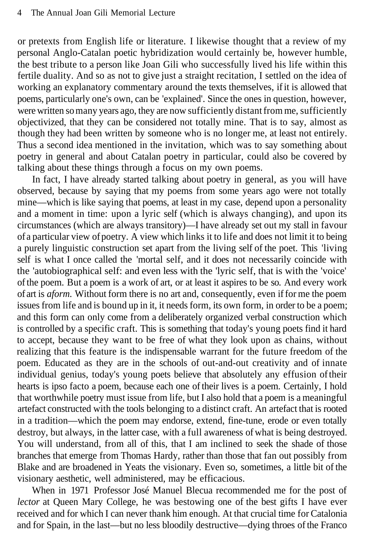or pretexts from English life or literature. I likewise thought that a review of my personal Anglo-Catalan poetic hybridization would certainly be, however humble, the best tribute to a person like Joan Gili who successfully lived his life within this fertile duality. And so as not to give just a straight recitation, I settled on the idea of working an explanatory commentary around the texts themselves, if it is allowed that poems, particularly one's own, can be 'explained'. Since the ones in question, however, were written so many years ago, they are now sufficiently distant from me, sufficiently objectivized, that they can be considered not totally mine. That is to say, almost as though they had been written by someone who is no longer me, at least not entirely. Thus a second idea mentioned in the invitation, which was to say something about poetry in general and about Catalan poetry in particular, could also be covered by talking about these things through a focus on my own poems.

In fact, I have already started talking about poetry in general, as you will have observed, because by saying that my poems from some years ago were not totally mine—which is like saying that poems, at least in my case, depend upon a personality and a moment in time: upon a lyric self (which is always changing), and upon its circumstances (which are always transitory)—I have already set out my stall in favour of a particular view of poetry. A view which links it to life and does not limit it to being a purely linguistic construction set apart from the living self of the poet. This 'living self is what I once called the 'mortal self, and it does not necessarily coincide with the 'autobiographical self: and even less with the 'lyric self, that is with the 'voice' of the poem. But a poem is a work of art, or at least it aspires to be so. And every work of art is *aform.* Without form there is no art and, consequently, even if for me the poem issues from life and is bound up in it, it needs form, its own form, in order to be a poem; and this form can only come from a deliberately organized verbal construction which is controlled by a specific craft. This is something that today's young poets find it hard to accept, because they want to be free of what they look upon as chains, without realizing that this feature is the indispensable warrant for the future freedom of the poem. Educated as they are in the schools of out-and-out creativity and of innate individual genius, today's young poets believe that absolutely any effusion of their hearts is ipso facto a poem, because each one of their lives is a poem. Certainly, I hold that worthwhile poetry must issue from life, but I also hold that a poem is a meaningful artefact constructed with the tools belonging to a distinct craft. An artefact that is rooted in a tradition—which the poem may endorse, extend, fine-tune, erode or even totally destroy, but always, in the latter case, with a full awareness of what is being destroyed. You will understand, from all of this, that I am inclined to seek the shade of those branches that emerge from Thomas Hardy, rather than those that fan out possibly from Blake and are broadened in Yeats the visionary. Even so, sometimes, a little bit of the visionary aesthetic, well administered, may be efficacious.

When in 1971 Professor José Manuel Blecua recommended me for the post of *lector* at Queen Mary College, he was bestowing one of the best gifts I have ever received and for which I can never thank him enough. At that crucial time for Catalonia and for Spain, in the last—but no less bloodily destructive—dying throes of the Franco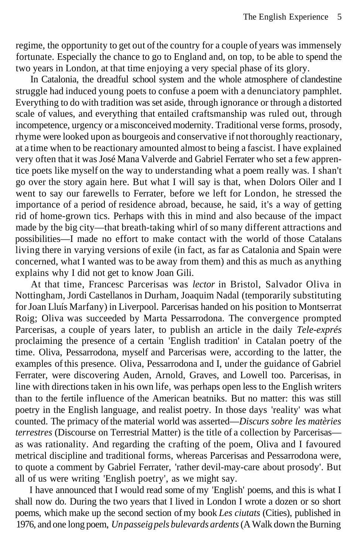regime, the opportunity to get out of the country for a couple of years was immensely fortunate. Especially the chance to go to England and, on top, to be able to spend the two years in London, at that time enjoying a very special phase of its glory.

In Catalonia, the dreadful school system and the whole atmosphere of clandestine struggle had induced young poets to confuse a poem with a denunciatory pamphlet. Everything to do with tradition was set aside, through ignorance or through a distorted scale of values, and everything that entailed craftsmanship was ruled out, through incompetence, urgency or a misconceived modernity. Traditional verse forms, prosody, rhyme were looked upon as bourgeois and conservative if not thoroughly reactionary, at a time when to be reactionary amounted almost to being a fascist. I have explained very often that it was José Mana Valverde and Gabriel Ferrater who set a few apprentice poets like myself on the way to understanding what a poem really was. I shan't go over the story again here. But what I will say is that, when Dolors Oiler and I went to say our farewells to Ferrater, before we left for London, he stressed the importance of a period of residence abroad, because, he said, it's a way of getting rid of home-grown tics. Perhaps with this in mind and also because of the impact made by the big city—that breath-taking whirl of so many different attractions and possibilities—I made no effort to make contact with the world of those Catalans living there in varying versions of exile (in fact, as far as Catalonia and Spain were concerned, what I wanted was to be away from them) and this as much as anything explains why I did not get to know Joan Gili.

At that time, Francesc Parcerisas was *lector* in Bristol, Salvador Oliva in Nottingham, Jordi Castellanos in Durham, Joaquim Nadal (temporarily substituting for Joan Lluís Marfany) in Liverpool. Parcerisas handed on his position to Montserrat Roig; Oliva was succeeded by Marta Pessarrodona. The convergence prompted Parcerisas, a couple of years later, to publish an article in the daily *Tele-exprés* proclaiming the presence of a certain 'English tradition' in Catalan poetry of the time. Oliva, Pessarrodona, myself and Parcerisas were, according to the latter, the examples of this presence. Oliva, Pessarrodona and I, under the guidance of Gabriel Ferrater, were discovering Auden, Arnold, Graves, and Lowell too. Parcerisas, in line with directions taken in his own life, was perhaps open less to the English writers than to the fertile influence of the American beatniks. But no matter: this was still poetry in the English language, and realist poetry. In those days 'reality' was what counted. The primacy of the material world was asserted—*Discurs sobre les matèries terrestres* (Discourse on Terrestrial Matter) is the title of a collection by Parcerisas as was rationality. And regarding the crafting of the poem, Oliva and I favoured metrical discipline and traditional forms, whereas Parcerisas and Pessarrodona were, to quote a comment by Gabriel Ferrater, 'rather devil-may-care about prosody'. But all of us were writing 'English poetry', as we might say.

I have announced that I would read some of my 'English' poems, and this is what I shall now do. During the two years that I lived in London I wrote a dozen or so short poems, which make up the second section of my book *Les ciutats* (Cities), published in 1976, and one long poem, *Un passeig pels bulevards ardents* (A Walk down the Burning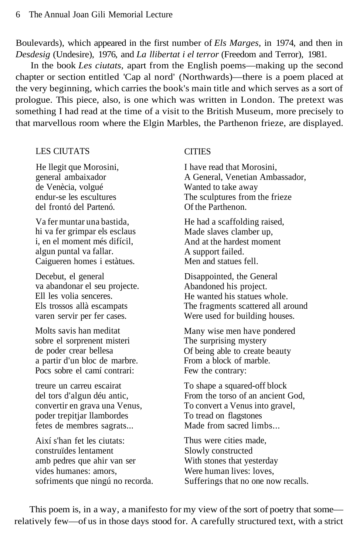Boulevards), which appeared in the first number of *Els Marges,* in 1974, and then in *Desdesig* (Undesire), 1976, and *La llibertat i el terror* (Freedom and Terror), 1981.

In the book *Les ciutats,* apart from the English poems—making up the second chapter or section entitled 'Cap al nord' (Northwards)—there is a poem placed at the very beginning, which carries the book's main title and which serves as a sort of prologue. This piece, also, is one which was written in London. The pretext was something I had read at the time of a visit to the British Museum, more precisely to that marvellous room where the Elgin Marbles, the Parthenon frieze, are displayed.

#### LES CIUTATS

He llegit que Morosini, general ambaixador de Venècia, volgué endur-se les escultures del frontó del Partenó.

Va fer muntar una bastida, hi va fer grimpar els esclaus i, en el moment més difícil, algun puntal va fallar. Caigueren homes i estàtues.

Decebut, el general va abandonar el seu projecte. Ell les volia senceres. Els trossos allà escampats varen servir per fer cases.

Molts savis han meditat sobre el sorprenent misteri de poder crear bellesa a partir d'un bloc de marbre. Pocs sobre el camí contrari:

treure un carreu escairat del tors d'algun déu antic, convertir en grava una Venus, poder trepitjar llambordes fetes de membres sagrats...

Així s'han fet les ciutats: construïdes lentament amb pedres que ahir van ser vides humanes: amors, sofriments que ningú no recorda.

#### **CITIES**

I have read that Morosini, A General, Venetian Ambassador, Wanted to take away The sculptures from the frieze Of the Parthenon.

He had a scaffolding raised, Made slaves clamber up, And at the hardest moment A support failed. Men and statues fell.

Disappointed, the General Abandoned his project. He wanted his statues whole. The fragments scattered all around Were used for building houses.

Many wise men have pondered The surprising mystery Of being able to create beauty From a block of marble. Few the contrary:

To shape a squared-off block From the torso of an ancient God, To convert a Venus into gravel, To tread on flagstones Made from sacred limbs.

Thus were cities made, Slowly constructed With stones that yesterday Were human lives: loves, Sufferings that no one now recalls.

This poem is, in a way, a manifesto for my view of the sort of poetry that some relatively few—of us in those days stood for. A carefully structured text, with a strict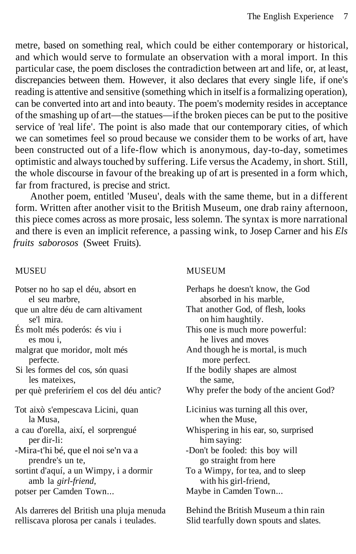metre, based on something real, which could be either contemporary or historical, and which would serve to formulate an observation with a moral import. In this particular case, the poem discloses the contradiction between art and life, or, at least, discrepancies between them. However, it also declares that every single life, if one's reading is attentive and sensitive (something which in itself is a formalizing operation), can be converted into art and into beauty. The poem's modernity resides in acceptance of the smashing up of art—the statues—if the broken pieces can be put to the positive service of 'real life'. The point is also made that our contemporary cities, of which we can sometimes feel so proud because we consider them to be works of art, have been constructed out of a life-flow which is anonymous, day-to-day, sometimes optimistic and always touched by suffering. Life versus the Academy, in short. Still, the whole discourse in favour of the breaking up of art is presented in a form which, far from fractured, is precise and strict.

Another poem, entitled 'Museu', deals with the same theme, but in a different form. Written after another visit to the British Museum, one drab rainy afternoon, this piece comes across as more prosaic, less solemn. The syntax is more narrational and there is even an implicit reference, a passing wink, to Josep Carner and his *Els fruits saborosos* (Sweet Fruits).

#### MUSEU

#### MUSEUM

| Potser no ho sap el déu, absort en        | Perhaps he doesn't know, the God        |
|-------------------------------------------|-----------------------------------------|
| el seu marbre,                            | absorbed in his marble.                 |
| que un altre déu de carn altivament       | That another God, of flesh, looks       |
| se'l mira.                                | on him haughtily.                       |
| Es molt més poderós: és viu i             | This one is much more powerful:         |
| es mou <i>i</i> ,                         | he lives and moves                      |
| malgrat que moridor, molt més             | And though he is mortal, is much        |
| perfecte.                                 | more perfect.                           |
| Si les formes del cos, són quasi          | If the bodily shapes are almost         |
| les mateixes,                             | the same,                               |
| per què preferiríem el cos del déu antic? | Why prefer the body of the ancient God? |
| Tot això s'empescava Licini, quan         | Licinius was turning all this over,     |
| la Musa,                                  | when the Muse,                          |
| a cau d'orella, així, el sorprengué       | Whispering in his ear, so, surprised    |
| per dir-li:                               | him saying:                             |
| -Mira-t'hi bé, que el noi se'n va a       | -Don't be fooled: this boy will         |
| prendre's un te,                          | go straight from here                   |
| sortint d'aquí, a un Wimpy, i a dormir    | To a Wimpy, for tea, and to sleep       |
| amb la girl-friend,                       | with his girl-friend,                   |
| potser per Camden Town                    | Maybe in Camden Town                    |
|                                           |                                         |

Als darreres del British una pluja menuda relliscava plorosa per canals i teulades.

Behind the British Museum a thin rain Slid tearfully down spouts and slates.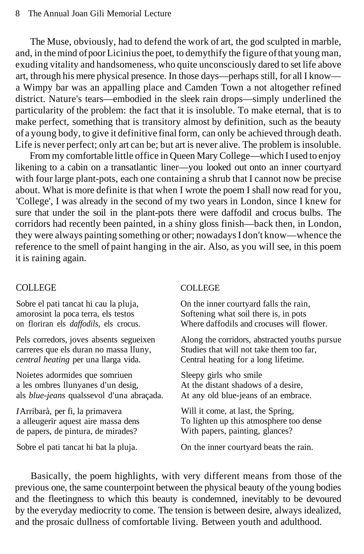The Muse, obviously, had to defend the work of art, the god sculpted in marble, and, in the mind of poor Licinius the poet, to demythify the figure of that young man, exuding vitality and handsomeness, who quite unconsciously dared to set life above art, through his mere physical presence. In those days—perhaps still, for all I know a Wimpy bar was an appalling place and Camden Town a not altogether refined district. Nature's tears—embodied in the sleek rain drops—simply underlined the particularity of the problem: the fact that it is insoluble. To make eternal, that is to make perfect, something that is transitory almost by definition, such as the beauty of a young body, to give it definitive final form, can only be achieved through death. Life is never perfect; only art can be; but art is never alive. The problem is insoluble.

From my comfortable little office in Queen Mary College—which I used to enjoy likening to a cabin on a transatlantic liner—you looked out onto an inner courtyard with four large plant-pots, each one containing a shrub that I cannot now be precise about. What is more definite is that when I wrote the poem I shall now read for you, 'College', I was already in the second of my two years in London, since I knew for sure that under the soil in the plant-pots there were daffodil and crocus bulbs. The corridors had recently been painted, in a shiny gloss finish—back then, in London, they were always painting something or other; nowadays I don't know—whence the reference to the smell of paint hanging in the air. Also, as you will see, in this poem it is raining again.

#### COLLEGE

Sobre el pati tancat hi cau la pluja, amorosint la poca terra, els testos on floriran els *daffodils,* els crocus.

Pels corredors, joves absents segueixen carreres que els duran no massa lluny, *central heating* per una llarga vida.

Noietes adormides que somriuen a les ombres llunyanes d'un desig, als *blue-jeans* qualssevol d'una abraçada.

*I* Arribarà, per fi, la primavera a alleugerir aquest aire massa dens de papers, de pintura, de mirades?

Sobre el pati tancat hi bat la pluja.

#### COLLEGE

On the inner courtyard falls the rain, Softening what soil there is, in pots Where daffodils and crocuses will flower.

Along the corridors, abstracted youths pursue Studies that will not take them too far, Central heating for a long lifetime.

Sleepy girls who smile At the distant shadows of a desire, At any old blue-jeans of an embrace.

Will it come, at last, the Spring, To lighten up this atmosphere too dense With papers, painting, glances?

On the inner courtyard beats the rain.

Basically, the poem highlights, with very different means from those of the previous one, the same counterpoint between the physical beauty of the young bodies and the fleetingness to which this beauty is condemned, inevitably to be devoured by the everyday mediocrity to come. The tension is between desire, always idealized, and the prosaic dullness of comfortable living. Between youth and adulthood.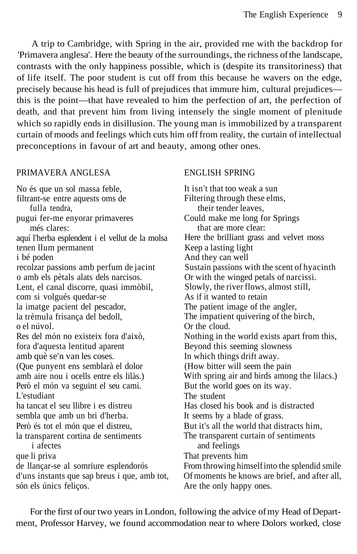A trip to Cambridge, with Spring in the air, provided rne with the backdrop for 'Primavera anglesa'. Here the beauty of the surroundings, the richness of the landscape, contrasts with the only happiness possible, which is (despite its transitoriness) that of life itself. The poor student is cut off from this because he wavers on the edge, precisely because his head is full of prejudices that immure him, cultural prejudices this is the point—that have revealed to him the perfection of art, the perfection of death, and that prevent him from living intensely the single moment of plenitude which so rapidly ends in disillusion. The young man is immobilized by a transparent curtain of moods and feelings which cuts him off from reality, the curtain of intellectual preconceptions in favour of art and beauty, among other ones.

#### PRIMAVERA ANGLESA

No és que un sol massa feble, filtrant-se entre aquests oms de fulla tendra, pugui fer-me enyorar primaveres més clares: aquí l'herba esplendent i el vellut de la molsa tenen llum permanent i bé poden recolzar passions amb perfum de jacint o amb els pètals alats dels narcisos. Lent, el canal discorre, quasi immòbil, com si volgués quedar-se la imatge pacient del pescador, la trèmula frisança del bedoll, o el núvol. Res del món no existeix fora d'això, fora d'aquesta lentitud aparent amb què se'n van les coses. (Que punyent ens semblarà el dolor amb aire nou i ocells entre els lilàs.) Però el món va seguint el seu cami. L'estudiant ha tancat el seu llibre i es distreu sembla que amb un bri d'herba. Però és tot el món que el distreu, la transparent cortina de sentiments i afectes que li priva de llançar-se al somriure esplendorós d'uns instants que sap breus i que, amb tot, són els únics feliços.

#### ENGLISH SPRING

It isn't that too weak a sun Filtering through these elms, their tender leaves, Could make me long for Springs that are more clear: Here the brilliant grass and velvet moss Keep a lasting light And they can well Sustain passions with the scent of hyacinth Or with the winged petals of narcissi. Slowly, the river flows, almost still, As if it wanted to retain The patient image of the angler, The impatient quivering of the birch, Or the cloud. Nothing in the world exists apart from this, Beyond this seeming slowness In which things drift away. (How bitter will seem the pain With spring air and birds among the lilacs.) But the world goes on its way. The student Has closed his book and is distracted It seems by a blade of grass. But it's all the world that distracts him, The transparent curtain of sentiments and feelings That prevents him From throwing himself into the splendid smile Of moments he knows are brief, and after all, Are the only happy ones.

For the first of our two years in London, following the advice of my Head of Department, Professor Harvey, we found accommodation near to where Dolors worked, close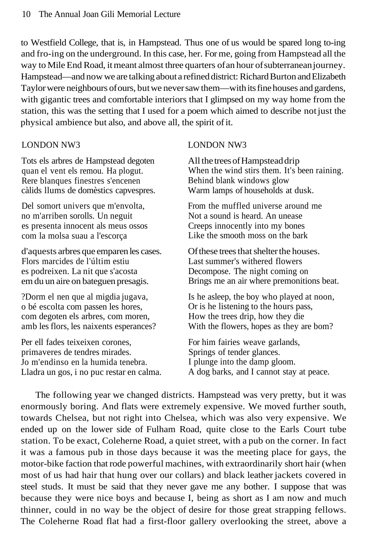to Westfield College, that is, in Hampstead. Thus one of us would be spared long to-ing and fro-ing on the underground. In this case, her. For me, going from Hampstead all the way to Mile End Road, it meant almost three quarters of an hour of subterranean journey. Hampstead—and now we are talking about a refined district: Richard Burton and Elizabeth Taylor were neighbours of ours, but we never saw them—with its fine houses and gardens, with gigantic trees and comfortable interiors that I glimpsed on my way home from the station, this was the setting that I used for a poem which aimed to describe not just the physical ambience but also, and above all, the spirit of it.

#### LONDON NW3

Tots els arbres de Hampstead degoten quan el vent els remou. Ha plogut. Rere blanques finestres s'encenen càlids llums de domèstics capvespres.

Del somort univers que m'envolta, no m'arriben sorolls. Un neguit es presenta innocent als meus ossos com la molsa suau a l'escorça

d'aquests arbres que emparen les cases. Flors marcides de l'últim estiu es podreixen. La nit que s'acosta em du un aire on bateguen presagis.

?Dorm el nen que al migdia jugava, o bé escolta com passen les hores, com degoten els arbres, com moren, amb les flors, les naixents esperances?

Per ell fades teixeixen corones, primaveres de tendres mirades. Jo m'endinso en la humida tenebra. Lladra un gos, i no puc restar en calma.

#### LONDON NW3

All the trees of Hampstead drip When the wind stirs them. It's been raining. Behind blank windows glow Warm lamps of households at dusk.

From the muffled universe around me Not a sound is heard. An unease Creeps innocently into my bones Like the smooth moss on the bark

Of these trees that shelter the houses. Last summer's withered flowers Decompose. The night coming on Brings me an air where premonitions beat.

Is he asleep, the boy who played at noon, Or is he listening to the hours pass, How the trees drip, how they die With the flowers, hopes as they are bom?

For him fairies weave garlands, Springs of tender glances. I plunge into the damp gloom. A dog barks, and I cannot stay at peace.

The following year we changed districts. Hampstead was very pretty, but it was enormously boring. And flats were extremely expensive. We moved further south, towards Chelsea, but not right into Chelsea, which was also very expensive. We ended up on the lower side of Fulham Road, quite close to the Earls Court tube station. To be exact, Coleherne Road, a quiet street, with a pub on the corner. In fact it was a famous pub in those days because it was the meeting place for gays, the motor-bike faction that rode powerful machines, with extraordinarily short hair (when most of us had hair that hung over our collars) and black leather jackets covered in steel studs. It must be said that they never gave me any bother. I suppose that was because they were nice boys and because I, being as short as I am now and much thinner, could in no way be the object of desire for those great strapping fellows. The Coleherne Road flat had a first-floor gallery overlooking the street, above a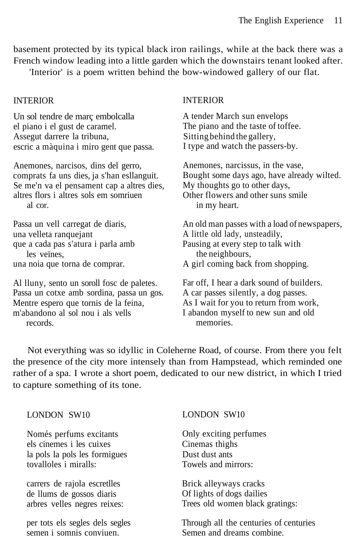basement protected by its typical black iron railings, while at the back there was a French window leading into a little garden which the downstairs tenant looked after.

'Interior' is a poem written behind the bow-windowed gallery of our flat.

#### INTERIOR

Un sol tendre de març embolcalla el piano i el gust de caramel. Assegut darrere la tribuna, escric a màquina i miro gent que passa.

Anemones, narcisos, dins del gerro, comprats fa uns dies, ja s'han esllanguit. Se me'n va el pensament cap a altres dies, altres flors i altres sols em somriuen al cor.

Passa un vell carregat de diaris, una velleta ranquejant que a cada pas s'atura i parla amb les veïnes, una noia que torna de comprar.

semen i somnis conviuen.

Al lluny, sento un soroll fosc de paletes. Passa un cotxe amb sordina, passa un gos. Mentre espero que tornis de la feina, m'abandono al sol nou i als vells records.

#### INTERIOR

A tender March sun envelops The piano and the taste of toffee. Sitting behind the gallery, I type and watch the passers-by.

Anemones, narcissus, in the vase, Bought some days ago, have already wilted. My thoughts go to other days, Other flowers and other suns smile in my heart.

An old man passes with a load of newspapers, A little old lady, unsteadily, Pausing at every step to talk with the neighbours, A girl coming back from shopping.

Far off, I hear a dark sound of builders. A car passes silently, a dog passes. As I wait for you to return from work, I abandon myself to new sun and old memories.

Semen and dreams combine.

Not everything was so idyllic in Coleherne Road, of course. From there you felt the presence of the city more intensely than from Hampstead, which reminded one rather of a spa. I wrote a short poem, dedicated to our new district, in which I tried to capture something of its tone.

| LONDON SW10                     | LONDON SW10                            |
|---------------------------------|----------------------------------------|
| Només perfums excitants         | Only exciting perfumes                 |
| els cinemes i les cuixes        | Cinemas thighs                         |
| la pols la pols les formigues   | Dust dust ants                         |
| tovalloles i miralls:           | Towels and mirrors:                    |
| carrers de rajola escretiles    | Brick alleyways cracks                 |
| de llums de gossos diaris       | Of lights of dogs dailies              |
| arbres velles negres reixes:    | Trees old women black gratings:        |
| per tots els segles dels segles | Through all the centuries of centuries |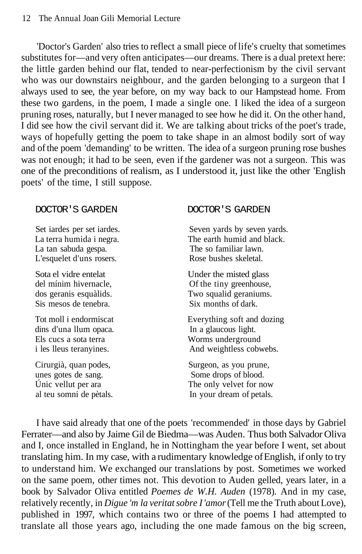'Doctor's Garden' also tries to reflect a small piece of life's cruelty that sometimes substitutes for—and very often anticipates—our dreams. There is a dual pretext here: the little garden behind our flat, tended to near-perfectionism by the civil servant who was our downstairs neighbour, and the garden belonging to a surgeon that I always used to see, the year before, on my way back to our Hampstead home. From these two gardens, in the poem, I made a single one. I liked the idea of a surgeon pruning roses, naturally, but I never managed to see how he did it. On the other hand, I did see how the civil servant did it. We are talking about tricks of the poet's trade, ways of hopefully getting the poem to take shape in an almost bodily sort of way and of the poem 'demanding' to be written. The idea of a surgeon pruning rose bushes was not enough; it had to be seen, even if the gardener was not a surgeon. This was one of the preconditions of realism, as I understood it, just like the other 'English poets' of the time, I still suppose.

La tan sabuda gespa. The so familiar lawn. L'esquelet d'uns rosers. Rose bushes skeletal.

Sis mesos de tenebra. Six months of dark.

dins d'una llum opaca. In a glaucous light. Els cucs a sota terra Worms underground

unes gotes de sang. Some drops of blood.

#### DOCTOR'S GARDEN DOCTOR'S GARDEN

Set iardes per set iardes. Seven yards by seven yards. La terra humida i negra. The earth humid and black.

Sota el vidre entelat Under the misted glass<br>del mínim hivernacle. Of the tiny greenhouse. Of the tiny greenhouse, dos geranis esquàlids. Two squalid geraniums.

Tot moll i endormiscat Everything soft and dozing i les lleus teranyines. And weightless cobwebs.

Cirurgià, quan podes, Surgeon, as you prune, Unic vellut per ara The only velvet for now al teu somni de pètals. In your dream of petals.

I have said already that one of the poets 'recommended' in those days by Gabriel Ferrater—and also by Jaime Gil de Biedma—was Auden. Thus both Salvador Oliva and I, once installed in England, he in Nottingham the year before I went, set about translating him. In my case, with a rudimentary knowledge of English, if only to try to understand him. We exchanged our translations by post. Sometimes we worked on the same poem, other times not. This devotion to Auden gelled, years later, in a book by Salvador Oliva entitled *Poemes de W.H. Auden* (1978). And in my case, relatively recently, in *Digue 'm la veritat sobre I 'amor* (Tell me the Truth about Love), published in 1997, which contains two or three of the poems I had attempted to translate all those years ago, including the one made famous on the big screen,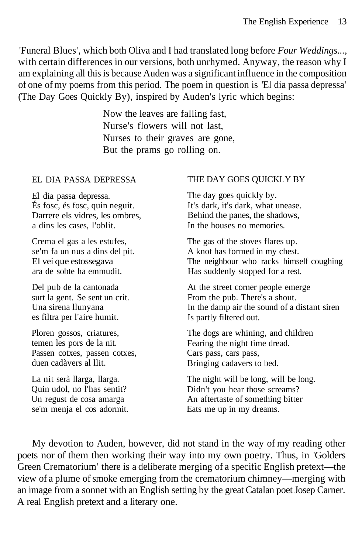'Funeral Blues', which both Oliva and I had translated long before *Four Weddings...,* with certain differences in our versions, both unrhymed. Anyway, the reason why I am explaining all this is because Auden was a significant influence in the composition of one of my poems from this period. The poem in question is 'El dia passa depressa' (The Day Goes Quickly By), inspired by Auden's lyric which begins:

> Now the leaves are falling fast, Nurse's flowers will not last, Nurses to their graves are gone, But the prams go rolling on.

#### EL DIA PASSA DEPRESSA

El dia passa depressa. És fosc, és fosc, quin neguit. Darrere els vidres, les ombres, a dins les cases, l'oblit.

Crema el gas a les estufes, se'm fa un nus a dins del pit. El veí que estossegava ara de sobte ha emmudit.

Del pub de la cantonada surt la gent. Se sent un crit. Una sirena llunyana es filtra per l'aire humit.

Ploren gossos, criatures, temen les pors de la nit. Passen cotxes, passen cotxes, duen cadàvers al llit.

La nit serà llarga, llarga. Quin udol, no l'has sentit? Un regust de cosa amarga se'm menja el cos adormit.

#### THE DAY GOES QUICKLY BY

The day goes quickly by. It's dark, it's dark, what unease. Behind the panes, the shadows, In the houses no memories.

The gas of the stoves flares up. A knot has formed in my chest. The neighbour who racks himself coughing Has suddenly stopped for a rest.

At the street corner people emerge From the pub. There's a shout. In the damp air the sound of a distant siren Is partly filtered out.

The dogs are whining, and children Fearing the night time dread. Cars pass, cars pass, Bringing cadavers to bed.

The night will be long, will be long. Didn't you hear those screams? An aftertaste of something bitter Eats me up in my dreams.

My devotion to Auden, however, did not stand in the way of my reading other poets nor of them then working their way into my own poetry. Thus, in 'Golders Green Crematorium' there is a deliberate merging of a specific English pretext—the view of a plume of smoke emerging from the crematorium chimney—merging with an image from a sonnet with an English setting by the great Catalan poet Josep Carner. A real English pretext and a literary one.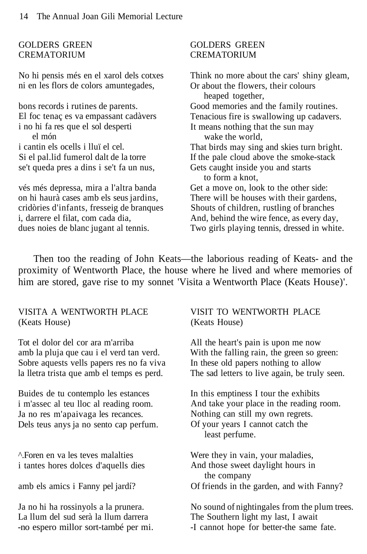#### GOLDERS GREEN CREMATORIUM

No hi pensis més en el xarol dels cotxes ni en les flors de colors amuntegades,

bons records i rutines de parents. El foc tenaç es va empassant cadàvers i no hi fa res que el sol desperti el món i cantin els ocells i lluï el cel. Si el pal.lid fumerol dalt de la torre se't queda pres a dins i se't fa un nus,

vés més depressa, mira a l'altra banda on hi haurà cases amb els seus jardins, cridòries d'infants, fresseig de branques i, darrere el filat, com cada dia, dues noies de blanc jugant al tennis.

#### GOLDERS GREEN CREMATORIUM

Think no more about the cars' shiny gleam, Or about the flowers, their colours heaped together, Good memories and the family routines. Tenacious fire is swallowing up cadavers. It means nothing that the sun may wake the world, That birds may sing and skies turn bright. If the pale cloud above the smoke-stack Gets caught inside you and starts to form a knot, Get a move on, look to the other side: There will be houses with their gardens, Shouts of children, rustling of branches And, behind the wire fence, as every day, Two girls playing tennis, dressed in white.

Then too the reading of John Keats—the laborious reading of Keats- and the proximity of Wentworth Place, the house where he lived and where memories of him are stored, gave rise to my sonnet 'Visita a Wentworth Place (Keats House)'.

#### VISITA A WENTWORTH PLACE (Keats House)

Tot el dolor del cor ara m'arriba amb la pluja que cau i el verd tan verd. Sobre aquests vells papers res no fa viva la lletra trista que amb el temps es perd.

Buides de tu contemplo les estances i m'assec al teu lloc al reading room. Ja no res m'apaivaga les recances. Dels teus anys ja no sento cap perfum.

^.Foren en va les teves malalties i tantes hores dolces d'aquells dies

amb els amics i Fanny pel jardí?

Ja no hi ha rossinyols a la prunera. La llum del sud serà la llum darrera -no espero millor sort-també per mi.

#### VISIT TO WENTWORTH PLACE (Keats House)

All the heart's pain is upon me now With the falling rain, the green so green: In these old papers nothing to allow The sad letters to live again, be truly seen.

In this emptiness I tour the exhibits And take your place in the reading room. Nothing can still my own regrets. Of your years I cannot catch the least perfume.

Were they in vain, your maladies, And those sweet daylight hours in the company Of friends in the garden, and with Fanny?

No sound of nightingales from the plum trees. The Southern light my last, I await -I cannot hope for better-the same fate.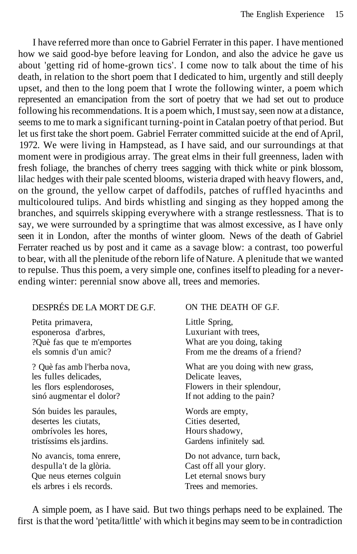I have referred more than once to Gabriel Ferrater in this paper. I have mentioned how we said good-bye before leaving for London, and also the advice he gave us about 'getting rid of home-grown tics'. I come now to talk about the time of his death, in relation to the short poem that I dedicated to him, urgently and still deeply upset, and then to the long poem that I wrote the following winter, a poem which represented an emancipation from the sort of poetry that we had set out to produce following his recommendations. It is a poem which, I must say, seen now at a distance, seems to me to mark a significant turning-point in Catalan poetry of that period. But let us first take the short poem. Gabriel Ferrater committed suicide at the end of April, 1972. We were living in Hampstead, as I have said, and our surroundings at that moment were in prodigious array. The great elms in their full greenness, laden with fresh foliage, the branches of cherry trees sagging with thick white or pink blossom, lilac hedges with their pale scented blooms, wisteria draped with heavy flowers, and, on the ground, the yellow carpet of daffodils, patches of ruffled hyacinths and multicoloured tulips. And birds whistling and singing as they hopped among the branches, and squirrels skipping everywhere with a strange restlessness. That is to say, we were surrounded by a springtime that was almost excessive, as I have only seen it in London, after the months of winter gloom. News of the death of Gabriel Ferrater reached us by post and it came as a savage blow: a contrast, too powerful to bear, with all the plenitude of the reborn life of Nature. A plenitude that we wanted to repulse. Thus this poem, a very simple one, confines itself to pleading for a neverending winter: perennial snow above all, trees and memories.

### DESPRÉS DE LA MORT DE G.F.

Petita primavera, esponerosa d'arbres, ?Què fas que te m'emportes els somnis d'un amic?

? Què fas amb l'herba nova, les fulles delicades, les flors esplendoroses, sinó augmentar el dolor?

Són buides les paraules, desertes les ciutats, ombrívoles les hores, tristíssims els jardins.

No avancis, toma enrere, despulla't de la glòria. Que neus eternes colguin els arbres i els records.

#### ON THE DEATH OF G.F.

Little Spring, Luxuriant with trees, What are you doing, taking From me the dreams of a friend?

What are you doing with new grass, Delicate leaves, Flowers in their splendour, If not adding to the pain?

Words are empty, Cities deserted, Hours shadowy, Gardens infinitely sad.

Do not advance, turn back, Cast off all your glory. Let eternal snows bury Trees and memories.

A simple poem, as I have said. But two things perhaps need to be explained. The first is that the word 'petita/little' with which it begins may seem to be in contradiction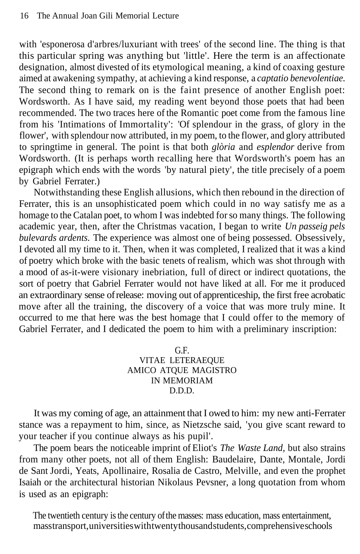with 'esponerosa d'arbres/luxuriant with trees' of the second line. The thing is that this particular spring was anything but 'little'. Here the term is an affectionate designation, almost divested of its etymological meaning, a kind of coaxing gesture aimed at awakening sympathy, at achieving a kind response, a *captatio benevolentiae.* The second thing to remark on is the faint presence of another English poet: Wordsworth. As I have said, my reading went beyond those poets that had been recommended. The two traces here of the Romantic poet come from the famous line from his 'Intimations of Immortality': 'Of splendour in the grass, of glory in the flower', with splendour now attributed, in my poem, to the flower, and glory attributed to springtime in general. The point is that both *glòria* and *esplendor* derive from Wordsworth. (It is perhaps worth recalling here that Wordsworth's poem has an epigraph which ends with the words 'by natural piety', the title precisely of a poem by Gabriel Ferrater.)

Notwithstanding these English allusions, which then rebound in the direction of Ferrater, this is an unsophisticated poem which could in no way satisfy me as a homage to the Catalan poet, to whom I was indebted for so many things. The following academic year, then, after the Christmas vacation, I began to write *Un passeig pels bulevards ardents.* The experience was almost one of being possessed. Obsessively, I devoted all my time to it. Then, when it was completed, I realized that it was a kind of poetry which broke with the basic tenets of realism, which was shot through with a mood of as-it-were visionary inebriation, full of direct or indirect quotations, the sort of poetry that Gabriel Ferrater would not have liked at all. For me it produced an extraordinary sense of release: moving out of apprenticeship, the first free acrobatic move after all the training, the discovery of a voice that was more truly mine. It occurred to me that here was the best homage that I could offer to the memory of Gabriel Ferrater, and I dedicated the poem to him with a preliminary inscription:

G.F.

VITAE LETERAEQUE AMICO ATQUE MAGISTRO IN MEMORIAM D.D.D.

It was my coming of age, an attainment that I owed to him: my new anti-Ferrater stance was a repayment to him, since, as Nietzsche said, 'you give scant reward to your teacher if you continue always as his pupil'.

The poem bears the noticeable imprint of Eliot's *The Waste Land,* but also strains from many other poets, not all of them English: Baudelaire, Dante, Montale, Jordi de Sant Jordi, Yeats, Apollinaire, Rosalia de Castro, Melville, and even the prophet Isaiah or the architectural historian Nikolaus Pevsner, a long quotation from whom is used as an epigraph:

The twentieth century is the century of the masses: mass education, mass entertainment, mass transport, universities with twenty thousand students, comprehensive schools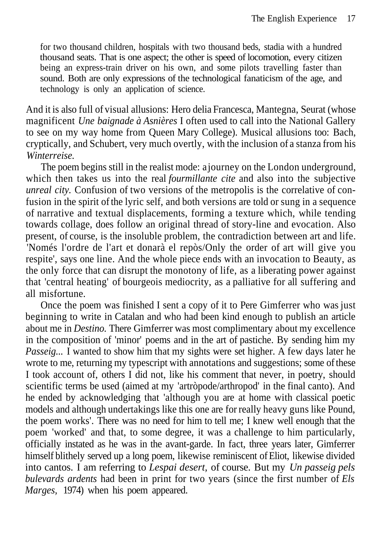for two thousand children, hospitals with two thousand beds, stadia with a hundred thousand seats. That is one aspect; the other is speed of locomotion, every citizen being an express-train driver on his own, and some pilots travelling faster than sound. Both are only expressions of the technological fanaticism of the age, and technology is only an application of science.

And it is also full of visual allusions: Hero delia Francesca, Mantegna, Seurat (whose magnificent *Une baignade à Asnières* I often used to call into the National Gallery to see on my way home from Queen Mary College). Musical allusions too: Bach, cryptically, and Schubert, very much overtly, with the inclusion of a stanza from his *Winterreise.*

The poem begins still in the realist mode: a journey on the London underground, which then takes us into the real *fourmillante cite* and also into the subjective *unreal city.* Confusion of two versions of the metropolis is the correlative of confusion in the spirit of the lyric self, and both versions are told or sung in a sequence of narrative and textual displacements, forming a texture which, while tending towards collage, does follow an original thread of story-line and evocation. Also present, of course, is the insoluble problem, the contradiction between art and life. 'Només l'ordre de l'art et donarà el repòs/Only the order of art will give you respite', says one line. And the whole piece ends with an invocation to Beauty, as the only force that can disrupt the monotony of life, as a liberating power against that 'central heating' of bourgeois mediocrity, as a palliative for all suffering and all misfortune.

Once the poem was finished I sent a copy of it to Pere Gimferrer who was just beginning to write in Catalan and who had been kind enough to publish an article about me in *Destino.* There Gimferrer was most complimentary about my excellence in the composition of 'minor' poems and in the art of pastiche. By sending him my *Passeig...* I wanted to show him that my sights were set higher. A few days later he wrote to me, returning my typescript with annotations and suggestions; some of these I took account of, others I did not, like his comment that never, in poetry, should scientific terms be used (aimed at my 'artròpode/arthropod' in the final canto). And he ended by acknowledging that 'although you are at home with classical poetic models and although undertakings like this one are for really heavy guns like Pound, the poem works'. There was no need for him to tell me; I knew well enough that the poem 'worked' and that, to some degree, it was a challenge to him particularly, officially instated as he was in the avant-garde. In fact, three years later, Gimferrer himself blithely served up a long poem, likewise reminiscent of Eliot, likewise divided into cantos. I am referring to *Lespai desert,* of course. But my *Un passeig pels bulevards ardents* had been in print for two years (since the first number of *Els Marges,* 1974) when his poem appeared.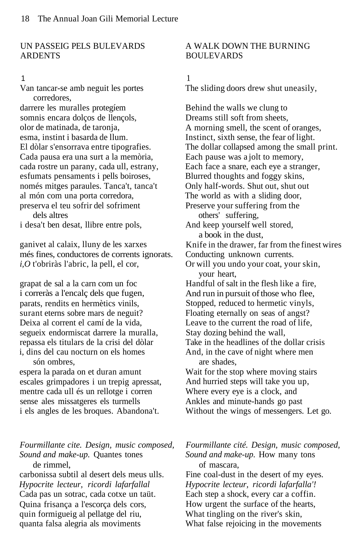#### UN PASSEIG PELS BULEVARDS **ARDENTS**

#### 1

Van tancar-se amb neguit les portes corredores,

darrere les muralles protegíem somnis encara dolços de llençols, olor de matinada, de taronja, esma, instint i basarda de llum. El dòlar s'ensorrava entre tipografies. Cada pausa era una surt a la memòria, cada rostre un parany, cada ull, estrany, esfumats pensaments i pells boiroses, només mitges paraules. Tanca't, tanca't al món com una porta corredora, preserva el teu sofrir del sofriment dels altres

i desa't ben desat, llibre entre pols,

ganivet al calaix, lluny de les xarxes més fines, conductores de corrents ignorats. *i,O* t'obriràs l'abric, la pell, el cor,

grapat de sal a la carn com un foc i correràs a l'encalç dels que fugen, parats, rendits en hermètics vinils, surant eterns sobre mars de neguit? Deixa al corrent el camí de la vida, segueix endormiscat darrere la muralla, repassa els titulars de la crisi del dòlar i, dins del cau nocturn on els homes són ombres,

espera la parada on et duran amunt escales grimpadores i un trepig apressat, mentre cada ull és un rellotge i corren sense ales missatgeres els turmells i els angles de les broques. Abandona't.

*Fourmillante cite. Design, music composed, Sound and make-up.* Quantes tones de rimmel,

carbonissa subtil al desert dels meus ulls. *Hypocrite lecteur, ricordi lafarfallal* Cada pas un sotrac, cada cotxe un taüt. Quina frisança a l'escorça dels cors, quin formigueig al pellatge del riu, quanta falsa alegria als moviments

#### A WALK DOWN THE BURNING BOULEVARDS

1

The sliding doors drew shut uneasily,

Behind the walls we clung to Dreams still soft from sheets, A morning smell, the scent of oranges, Instinct, sixth sense, the fear of light. The dollar collapsed among the small print. Each pause was a jolt to memory, Each face a snare, each eye a stranger, Blurred thoughts and foggy skins, Only half-words. Shut out, shut out The world as with a sliding door, Preserve your suffering from the others' suffering, And keep yourself well stored, a book in the dust, Knife in the drawer, far from the finest wires Conducting unknown currents. Or will you undo your coat, your skin, your heart, Handful of salt in the flesh like a fire, And run in pursuit of those who flee, Stopped, reduced to hermetic vinyls, Floating eternally on seas of angst? Leave to the current the road of life, Stay dozing behind the wall, Take in the headlines of the dollar crisis And, in the cave of night where men are shades, Wait for the stop where moving stairs And hurried steps will take you up, Where every eye is a clock, and Ankles and minute-hands go past Without the wings of messengers. Let go.

*Fourmillante cité. Design, music composed, Sound and make-up.* How many tons of mascara, Fine coal-dust in the desert of my eyes. *Hypocrite lecteur, ricordi lafarfalla'!* Each step a shock, every car a coffin. How urgent the surface of the hearts, What tingling on the river's skin, What false rejoicing in the movements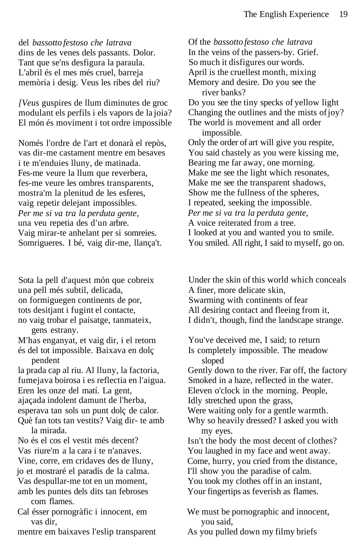del *bassotto festoso che latrava* dins de les venes dels passants. Dolor. Tant que se'ns desfigura la paraula. L'abril és el mes més cruel, barreja memòria i desig. Veus les ribes del riu?

*[Veus* guspires de llum diminutes de groc modulant els perfils i els vapors de la joia? El món és moviment i tot ordre impossible

Només l'ordre de l'art et donarà el repòs, vas dir-me castament mentre em besaves i te m'enduies lluny, de matinada. Fes-me veure la llum que reverbera, fes-me veure les ombres transparents, mostra'm la plenitud de les esferes, vaig repetir delejant impossibles. *Per me si va tra la perduta gente,* una veu repetia des d'un arbre. Vaig mirar-te anhelant per si somreies. Somrigueres. I bé, vaig dir-me, llança't.

Sota la pell d'aquest món que cobreix una pell més subtil, delicada, on formiguegen continents de por, tots desitjant i fugint el contacte, no vaig trobar el paisatge, tanmateix, gens estrany. M'has enganyat, et vaig dir, i el retorn

és del tot impossible. Baixava en dolç pendent

la prada cap al riu. Al lluny, la factoria, fumejava boirosa i es reflectia en l'aigua. Eren les onze del matí. La gent, ajaçada indolent damunt de l'herba, esperava tan sols un punt dolç de calor. Què fan tots tan vestits? Vaig dir- te amb la mirada.

No és el cos el vestit més decent? Vas riure'm a la cara i te n'anaves. Vine, corre, em cridaves des de lluny, jo et mostraré el paradís de la calma. Vas despullar-me tot en un moment, amb les puntes dels dits tan febroses com flames.

Cal ésser pornogràfic i innocent, em vas dir,

mentre em baixaves l'eslip transparent

Of the *bassotto festoso che latrava* In the veins of the passers-by. Grief. So much it disfigures our words. April is the cruellest month, mixing Memory and desire. Do you see the river banks? Do you see the tiny specks of yellow light Changing the outlines and the mists of joy? The world is movement and all order impossible. Only the order of art will give you respite, You said chastely as you were kissing me, Bearing me far away, one morning. Make me see the light which resonates, Make me see the transparent shadows, Show me the fullness of the spheres, I repeated, seeking the impossible. *Per me si va tra la perduta gente,* A voice reiterated from a tree. I looked at you and wanted you to smile.

You smiled. All right, I said to myself, go on.

Under the skin of this world which conceals A finer, more delicate skin,

Swarming with continents of fear All desiring contact and fleeing from it, I didn't, though, find the landscape strange.

You've deceived me, I said; to return Is completely impossible. The meadow sloped Gently down to the river. Far off, the factory

Smoked in a haze, reflected in the water. Eleven o'clock in the morning. People,

Idly stretched upon the grass,

Were waiting only for a gentle warmth.

Why so heavily dressed? I asked you with my eyes.

Isn't the body the most decent of clothes? You laughed in my face and went away.

Come, hurry, you cried from the distance,

I'll show you the paradise of calm.

You took my clothes off in an instant,

Your fingertips as feverish as flames.

We must be pornographic and innocent, you said,

As you pulled down my filmy briefs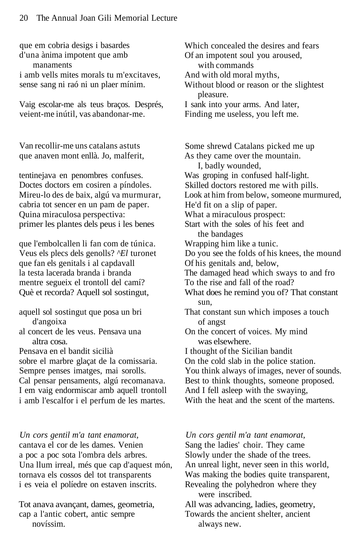que em cobria desigs i basardes d'una ànima impotent que amb manaments i amb vells mites morals tu m'excitaves, sense sang ni raó ni un plaer mínim. Vaig escolar-me als teus braços. Després, veient-me inútil, vas abandonar-me. Which concealed the desires and fears Van recollir-me uns catalans astuts que anaven mont enllà. Jo, malferit, tentinejava en penombres confuses. Doctes doctors em cosiren a píndoles. Mireu-lo des de baix, algú va murmurar, cabria tot sencer en un pam de paper. Quina miraculosa perspectiva: primer les plantes dels peus i les benes que l'embolcallen li fan com de túnica. Veus els plecs dels genolls? *^El* turonet que fan els genitals i al capdavall la testa lacerada branda i branda mentre segueix el trontoll del camí? Què et recorda? Aquell sol sostingut, aquell sol sostingut que posa un bri

- d'angoixa al concert de les veus. Pensava una
- altra cosa.
- Pensava en el bandit sicilià

sobre el marbre glaçat de la comissaria. Sempre penses imatges, mai sorolls. Cal pensar pensaments, algú recomanava. I em vaig endormiscar amb aquell trontoll i amb l'escalfor i el perfum de les martes.

*Un cors gentil m'a tant enamorat,* cantava el cor de les dames. Venien a poc a poc sota l'ombra dels arbres. Una llum irreal, més que cap d'aquest món, tornava els cossos del tot transparents i es veia el políedre on estaven inscrits.

Tot anava avançant, dames, geometria, cap a l'antic cobert, antic sempre novíssim.

Of an impotent soul you aroused, with commands And with old moral myths, Without blood or reason or the slightest pleasure. I sank into your arms. And later, Finding me useless, you left me.

Some shrewd Catalans picked me up As they came over the mountain. I, badly wounded, Was groping in confused half-light. Skilled doctors restored me with pills. Look at him from below, someone murmured, He'd fit on a slip of paper. What a miraculous prospect: Start with the soles of his feet and the bandages Wrapping him like a tunic. Do you see the folds of his knees, the mound Of his genitals and, below, The damaged head which sways to and fro To the rise and fall of the road? What does he remind you of? That constant sun, That constant sun which imposes a touch of angst On the concert of voices. My mind was elsewhere. I thought of the Sicilian bandit On the cold slab in the police station. You think always of images, never of sounds. Best to think thoughts, someone proposed. And I fell asleep with the swaying, With the heat and the scent of the martens.

#### *Un cors gentil m'a tant enamorat,*

Sang the ladies' choir. They came Slowly under the shade of the trees. An unreal light, never seen in this world,

Was making the bodies quite transparent,

Revealing the polyhedron where they were inscribed.

All was advancing, ladies, geometry,

Towards the ancient shelter, ancient always new.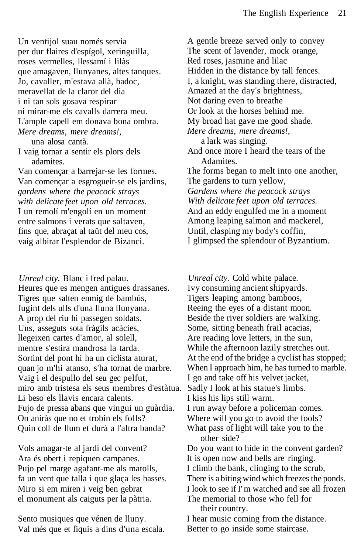Un ventijol suau només servia per dur flaires d'espígol, xeringuilla, roses vermelles, llessamí i lilàs que amagaven, llunyanes, altes tanques. Jo, cavaller, m'estava allà, badoc, meravellat de la claror del dia i ni tan sols gosava respirar ni mirar-me els cavalls darrera meu. L'ample capell em donava bona ombra. *Mere dreams, mere dreams!,*

una alosa cantà. I vaig tornar a sentir els plors dels adamites.

Van començar a barrejar-se les formes. Van començar a esgrogueir-se els jardins, *gardens where the peacock strays with delicate feet upon old terraces.* I un remolí m'engolí en un moment entre salmons i verats que saltaven, fins que, abraçat al taüt del meu cos, vaig albirar l'esplendor de Bizanci.

*Unreal city.* Blanc i fred palau. Heures que es mengen antigues drassanes. Tigres que salten enmig de bambús, fugint dels ulls d'una lluna llunyana. A prop del riu hi passegen soldats. Uns, asseguts sota fràgils acàcies, llegeixen cartes d'amor, al solell, mentre s'estira mandrosa la tarda. Sortint del pont hi ha un ciclista aturat, quan jo m'hi atanso, s'ha tornat de marbre. Vaig i el despullo del seu gec pelfut, miro amb tristesa els seus membres d'estàtua. Li beso els llavis encara calents. Fujo de pressa abans que vingui un guàrdia. On aniràs que no et trobin els folls? Quin coll de llum et durà a l'altra banda?

Vols amagar-te al jardí del convent? Ara és obert i repiquen campanes. Pujo pel marge agafant-me als matolls, fa un vent que talla i que glaça les basses. Miro si em miren i veig ben gebrat el monument als caiguts per la pàtria.

Sento musiques que vénen de lluny. Val més que et fiquis a dins d'una escala. A gentle breeze served only to convey The scent of lavender, mock orange, Red roses, jasmine and lilac Hidden in the distance by tall fences. I, a knight, was standing there, distracted, Amazed at the day's brightness, Not daring even to breathe Or look at the horses behind me. My broad hat gave me good shade. *Mere dreams, mere dreams!,* a lark was singing. And once more I heard the tears of the Adamites. The forms began to melt into one another, The gardens to turn yellow, *Gardens where the peacock strays With delicate feet upon old terraces.* And an eddy engulfed me in a moment Among leaping salmon and mackerel, Until, clasping my body's coffin, I glimpsed the splendour of Byzantium.

*Unreal city.* Cold white palace. Ivy consuming ancient shipyards. Tigers leaping among bamboos, Reeing the eyes of a distant moon. Beside the river soldiers are walking. Some, sitting beneath frail acacias, Are reading love letters, in the sun, While the afternoon lazily stretches out. At the end of the bridge a cyclist has stopped; When I approach him, he has turned to marble. I go and take off his velvet jacket, Sadly I look at his statue's limbs. I kiss his lips still warm. I run away before a policeman comes. Where will you go to avoid the fools? What pass of light will take you to the other side? Do you want to hide in the convent garden? It is open now and bells are ringing. I climb the bank, clinging to the scrub, There is a biting wind which freezes the ponds. I look to see if I' m watched and see all frozen The memorial to those who fell for their country. I hear music coming from the distance.

Better to go inside some staircase.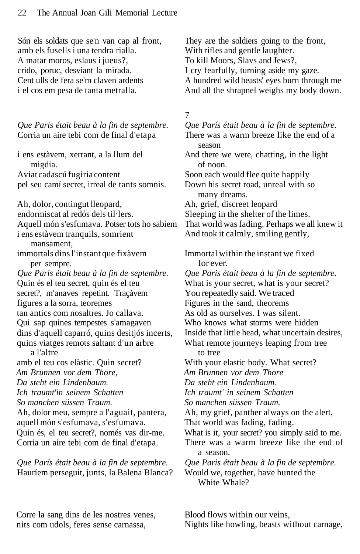Són els soldats que se'n van cap al front, amb els fusells i una tendra rialla. A matar moros, eslaus i jueus?, crido, poruc, desviant la mirada. Cent ulls de fera se'm claven ardents i el cos em pesa de tanta metralla.

*Que Paris était beau à la fin de septembre.* Corria un aire tebi com de final d'etapa

i ens estàvem, xerrant, a la llum del migdia. Aviat cadascú fugiria content pel seu camí secret, irreal de tants somnis. Ah, dolor, contingut lleopard, endormiscat al redós dels til·lers. Aquell món s'esfumava. Potser tots ho sabíem

i ens estàvem tranquils, somrient mansament,

immortals dins l'instant que fixàvem per sempre.

*Que Paris était beau à la fin de septembre.* Quin és el teu secret, quin és el teu secret?, m'anaves repetint. Traçàvem figures a la sorra, teoremes tan antics com nosaltres. Jo callava. Qui sap quines tempestes s'amagaven dins d'aquell caparró, quins desitjós incerts, quins viatges remots saltant d'un arbre a l'altre

amb el teu cos elàstic. Quin secret? *Am Brunnen vor dem Thore, Da steht ein Lindenbaum. Ich traumt'in seinem Schatten So manchen süssen Traum.*

Ah, dolor meu, sempre a l'aguait, pantera, aquell món s'esfumava, s'esfumava. Quin és, el teu secret?, només vas dir-me. Corria un aire tebi com de final d'etapa.

*Que París était beau à la fin de septembre.* Hauríem perseguit, junts, la Balena Blanca? They are the soldiers going to the front, With rifles and gentle laughter. To kill Moors, Slavs and Jews?, I cry fearfully, turning aside my gaze. A hundred wild beasts' eyes burn through me

And all the shrapnel weighs my body down.

#### 7

*Que París était beau à la fin de septembre.* There was a warm breeze like the end of a season And there we were, chatting, in the light of noon. Soon each would flee quite happily Down his secret road, unreal with so many dreams. Ah, grief, discreet leopard Sleeping in the shelter of the limes. That world was fading. Perhaps we all knew it And took it calmly, smiling gently, Immortal within the instant we fixed for ever. *Que Paris était beau à la fin de septembre.* What is your secret, what is your secret? You repeatedly said. We traced Figures in the sand, theorems As old as ourselves. I was silent. Who knows what storms were hidden Inside that little head, what uncertain desires, What remote journeys leaping from tree to tree With your elastic body. What secret? *Am Brunnen vor dem Thore Da steht ein Lindenbaum. Ich traumt' in seinem Schatten So manchen süssen Traum.* Ah, my grief, panther always on the alert, That world was fading, fading. What is it, your secret? you simply said to me. There was a warm breeze like the end of a season. *Que Paris était beau à la fin de septembre.* Would we, together, have hunted the White Whale?

Blood flows within our veins, Nights like howling, beasts without carnage,

Corre la sang dins de les nostres venes, nits com udols, feres sense carnassa,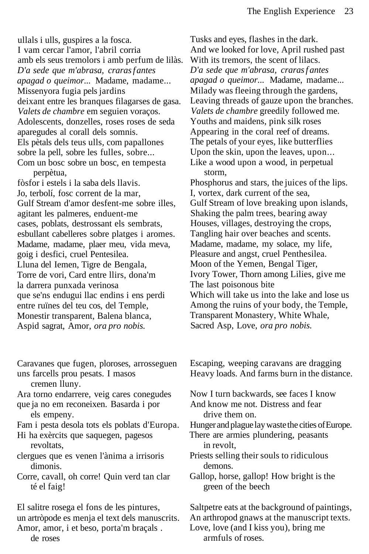ullals i ulls, guspires a la fosca. I vam cercar l'amor, l'abril corria amb els seus tremolors i amb perfum de lilàs. *D'a sede que m'abrasa, craras f antes apagad o queimor...* Madame, madame... Missenyora fugia pels jardins deixant entre les branques filagarses de gasa. *Valets de chambre* em seguien voraços. Adolescents, donzelles, roses roses de seda aparegudes al corall dels somnis. Els pètals dels teus ulls, com papallones sobre la pell, sobre les fulles, sobre... Com un bosc sobre un bosc, en tempesta perpètua,

fòsfor i estels i la saba dels llavis. Jo, terbolí, fosc corrent de la mar, Gulf Stream d'amor desfent-me sobre illes, agitant les palmeres, enduent-me cases, poblats, destrossant els sembrats, esbullant cabelleres sobre platges i aromes. Madame, madame, plaer meu, vida meva, goig i desfici, cruel Pentesilea. Lluna del Iemen, Tigre de Bengala, Torre de vori, Card entre llirs, dona'm la darrera punxada verinosa que se'ns endugui llac endins i ens perdi entre ruïnes del teu cos, del Temple, Monestir transparent, Balena blanca, Aspid sagrat, Amor, *ora pro nobis.*

Tusks and eyes, flashes in the dark. And we looked for love, April rushed past With its tremors, the scent of lilacs. *D'a sede que m'abrasa, craras f antes apagad o queimor...* Madame, madame... Milady was fleeing through the gardens, Leaving threads of gauze upon the branches. *Valets de chambre* greedily followed me. Youths and maidens, pink silk roses Appearing in the coral reef of dreams. The petals of your eyes, like butterflies Upon the skin, upon the leaves, upon... Like a wood upon a wood, in perpetual storm, Phosphorus and stars, the juices of the lips. I, vortex, dark current of the sea, Gulf Stream of love breaking upon islands, Shaking the palm trees, bearing away Houses, villages, destroying the crops, Tangling hair over beaches and scents. Madame, madame, my solace, my life, Pleasure and angst, cruel Penthesilea. Moon of the Yemen, Bengal Tiger, Ivory Tower, Thorn among Lilies, give me The last poisonous bite

Which will take us into the lake and lose us Among the ruins of your body, the Temple, Transparent Monastery, White Whale, Sacred Asp, Love, *ora pro nobis.*

Caravanes que fugen, ploroses, arrosseguen uns farcells prou pesats. I masos

cremen lluny.

Ara torno endarrere, veig cares conegudes que ja no em reconeixen. Basarda i por

els empeny. Fam i pesta desola tots els poblats d'Europa.

Hi ha exèrcits que saquegen, pagesos revoltats,

clergues que es venen l'ànima a irrisoris dimonis.

Corre, cavall, oh corre! Quin verd tan clar té el faig!

El salitre rosega el fons de les pintures, un artròpode es menja el text dels manuscrits. Amor, amor, i et beso, porta'm braçals .

de roses

Escaping, weeping caravans are dragging Heavy loads. And farms burn in the distance.

Now I turn backwards, see faces I know And know me not. Distress and fear

drive them on.

Hunger and plague lay waste the cities of Europe.

There are armies plundering, peasants in revolt,

Priests selling their souls to ridiculous demons.

Gallop, horse, gallop! How bright is the green of the beech

Saltpetre eats at the background of paintings, An arthropod gnaws at the manuscript texts. Love, love (and I kiss you), bring me armfuls of roses.